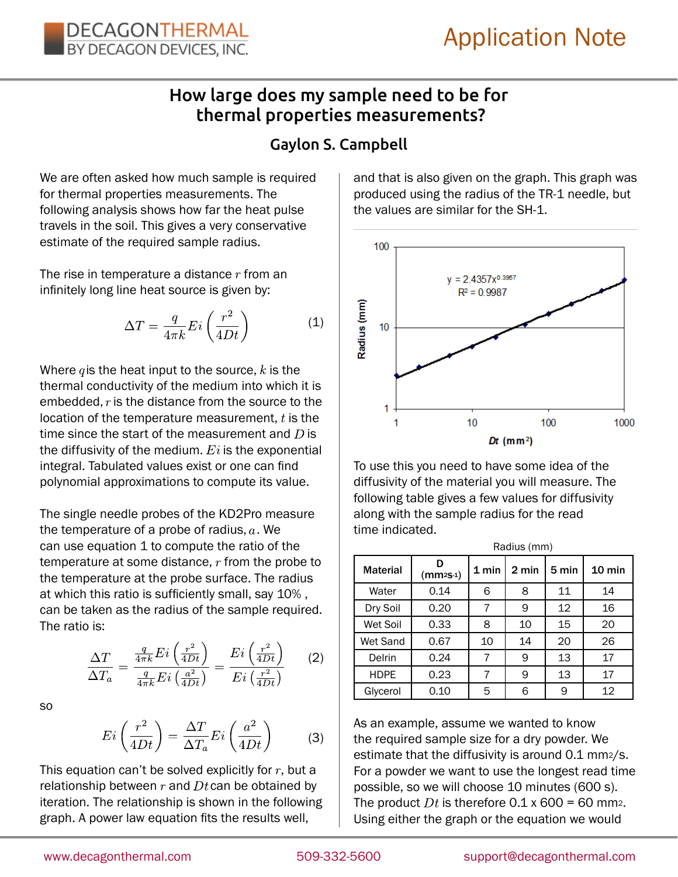## How large does my sample need to be for thermal properties measurements?

## Gaylon S. Campbell

We are often asked how much sample is required for thermal properties measurements. The following analysis shows how far the heat pulse travels in the soil. This gives a very conservative estimate of the required sample radius.

The rise in temperature a distance  $r$  from an infinitely long line heat source is given by:

$$
\Delta T = \frac{q}{4\pi k} Ei\left(\frac{r^2}{4Dt}\right) \tag{1}
$$

Where  $q$  is the heat input to the source,  $k$  is the thermal conductivity of the medium into which it is embedded,  $r$  is the distance from the source to the location of the temperature measurement,  $t$  is the time since the start of the measurement and  $D$  is the diffusivity of the medium.  $E_i$  is the exponential integral. Tabulated values exist or one can find polynomial approximations to compute its value.

The single needle probes of the KD2Pro measure the temperature of a probe of radius,  $a$ . We can use equation 1 to compute the ratio of the temperature at some distance,  $r$  from the probe to the temperature at the probe surface. The radius at which this ratio is sufficiently small, say 10% , can be taken as the radius of the sample required. The ratio is:

$$
\frac{\Delta T}{\Delta T_a} = \frac{\frac{q}{4\pi k} Ei\left(\frac{r^2}{4Dt}\right)}{\frac{q}{4\pi k} Ei\left(\frac{a^2}{4Dt}\right)} = \frac{Ei\left(\frac{r^2}{4Dt}\right)}{Ei\left(\frac{r^2}{4Dt}\right)}\tag{2}
$$

so

$$
Ei\left(\frac{r^2}{4Dt}\right) = \frac{\Delta T}{\Delta T_a} Ei\left(\frac{a^2}{4Dt}\right) \tag{3}
$$

This equation can't be solved explicitly for  $r$ , but a relationship between  $r$  and  $Dt$  can be obtained by iteration. The relationship is shown in the following graph. A power law equation fits the results well,

and that is also given on the graph. This graph was produced using the radius of the TR-1 needle, but the values are similar for the SH-1.



To use this you need to have some idea of the diffusivity of the material you will measure. The following table gives a few values for diffusivity along with the sample radius for the read time indicated.

|                 | Radius (mm) |         |       |       |                  |
|-----------------|-------------|---------|-------|-------|------------------|
| <b>Material</b> | $(mm2s-1)$  | $1$ min | 2 min | 5 min | $10 \text{ min}$ |
| Water           | 0.14        | 6       | 8     | 11    | 14               |
| Dry Soil        | 0.20        |         | 9     | 12    | 16               |
| Wet Soil        | 0.33        | 8       | 10    | 15    | 20               |
| Wet Sand        | 0.67        | 10      | 14    | 20    | 26               |
| Delrin          | 0.24        | 7       | 9     | 13    | 17               |
| <b>HDPE</b>     | 0.23        | 7       | 9     | 13    | 17               |
| Glycerol        | 0.10        | 5       | 6     | 9     | 12               |

As an example, assume we wanted to know the required sample size for a dry powder. We estimate that the diffusivity is around 0.1 mm2/s. For a powder we want to use the longest read time possible, so we will choose 10 minutes (600 s). The product Dt is therefore 0.1 x 600 = 60 mm2. Using either the graph or the equation we would